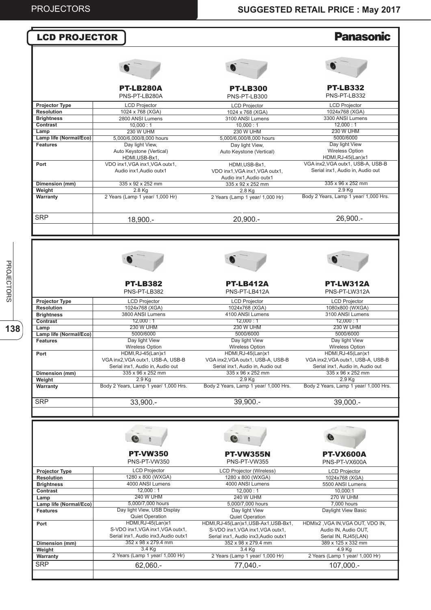#### **Panasonic** LCD PROJECTOR PT-LB280A PT-LB332 PT-LB300 PNS-PT-LB280A PNS-PT-LB332 PNS-PT-LB300 **Projector Type** LCD Projector LCD Projector LCD Projector **Resolution** 1024x768 (XGA) 1024 x 768 (XGA) 1024 x 768 (XGA) **Brightness** 2800 ANSI Lumens 3300 ANSI Lumens 3100 ANSI Lumens  $12,000 : 1$ **Contrast**  $10,000 : 1$  $10,000 : 1$ 230 W UHM **Lamp** 230 W UHM 230 W UHM **Lamp life (Normal/Eco)** 5,000/6,000/8,000 hours 5,000/6,000/8,000 hours 5000/6000 Day light View **Features** Day light View, Day light View Auto Keystone (Vertical) Auto Keystone (Vertical) Wireless Option HDMI,RJ-45(Lan)x1 HDMI,USB-Bx1, VGA inx2,VGA outx1, USB-A, USB-B **Port** VDO inx1,VGA inx1,VGA outx1, HDMI,USB-Bx1, VDO inx1,VGA inx1,VGA outx1, Serial inx1, Audio in, Audio out Audio inx1,Audio outx1 Audio inx1,Audio outx1 **Dimension (mm)** 335 x 96 x 252 mm 335 x 92 x 252 mm 335 x 92 x 252 mm 2.9 Kg 2.8 Kg **Weight** 2.8 Kg Body 2 Years, Lamp 1 year/ 1,000 Hrs. **Warranty** 2 Years (Lamp 1 year/ 1,000 Hr) 2 Years (Lamp 1 year/ 1,000 Hr) 21,500.- 17,500.- **SRP** 26,900.- 18,900.- 20,900.- PT-LB382 PT-LB412A PT-LW312A PNS-PT-LB382 PNS-PT-LB412A PNS-PT-LW312A **Projector Type** LCD Projector LCD Projector LCD Projector **Resolution** 1024x768 (XGA) 1024x768 (XGA) 1080x800 (WXGA) **Brightness** 3800 ANSI Lumens 4100 ANSI Lumens 3100 ANSI Lumens **Contrast** 12,000 : 1 12,000 : 1  $12,000 : 1$ **Lamp** 230 W UHM 230 W UHM 230 W UHM **Lamp life (Normal/Eco)** 5000/6000 5000/6000 5000/6000 Day light View Day light View Day light View **Features** Wireless Option Wireless Option Wireless Option HDMI,RJ-45(Lan)x1 HDMI,RJ-45(Lan)x1 HDMI,RJ-45(Lan)x1 **Port** VGA inx2,VGA outx1, USB-A, USB-B VGA inx2,VGA outx1, USB-A, USB-B VGA inx2,VGA outx1, USB-A, USB-B Serial inx1, Audio in, Audio out Serial inx1, Audio in, Audio out Serial inx1, Audio in, Audio out 335 x 96 x 252 mm  $335 \times 96 \times 252$  mm 335 x 96 x 252 mm **Dimension (mm)**  $2.9$  Kg **Weight** 2.9 Kg 2.9 Kg Body 2 Years, Lamp 1 year/ 1,000 Hrs. Body 2 Years, Lamp 1 year/ 1,000 Hrs. Body 2 Years, Lamp 1 year/ 1,000 Hrs. **Warranty** 39,900.-SRP 33,900.- 39,900.- 39,000.- $\bullet$  $\overline{\phantom{a}}$ PT-VW350 PT-VW355N PT-VX600A PNS-PT-VW350 PNS-PT-VW355 PNS-PT-VX600A LCD Projector LCD Projector **Projector Type** LCD Projector (Wireless) **Resolution** 1280 x 800 (WXGA) 1280 x 800 (WXGA) 1024x768 (XGA) 4000 ANSI Lumens **Brightness** 4000 ANSI Lumens 5500 ANSI Lumens  $12,000 : 1$  $12,000 : 1$  $10,000:1$ **Contrast** 240 W UHM  $270$  W UHM **Lamp** 240 W UHM **Lamp life (Normal/Eco)** 5,000/7,000 hours 5,000/7,000 hours 7,000 hours Day light View, USB Display Daylight View Basic **Features** Day light View Quiet Operation Quiet Operation HDMI,RJ-45(Lan)x1 HDMIx2 ,VGA IN,VGA OUT, VDO IN, **Port** HDMI,RJ-45(Lan)x1,USB-Ax1,USB-Bx1, S-VDO inx1, VGA inx1, VGA outx1 S-VDO inx1,VGA inx1,VGA outx1, Audio IN, Audio OUT, Serial inx1, Audio inx3,Audio outx1 Serial inx1, Audio inx3,Audio outx1 Serial IN, RJ45(LAN) 352 x 98 x 279.4 mm 352 x 98 x 279.4 mm 389 x 125 x 332 mm **Dimension (mm) Weight** 3.4 Kg 3.4 Kg 4.9 Kg 2 Years (Lamp 1 year/ 1,000 Hr) 2 Years (Lamp 1 year/ 1,000 Hr) 2 Years (Lamp 1 year/ 1,000 Hr) **Warranty SRP** 62,060.- 77,040.- 107,000.-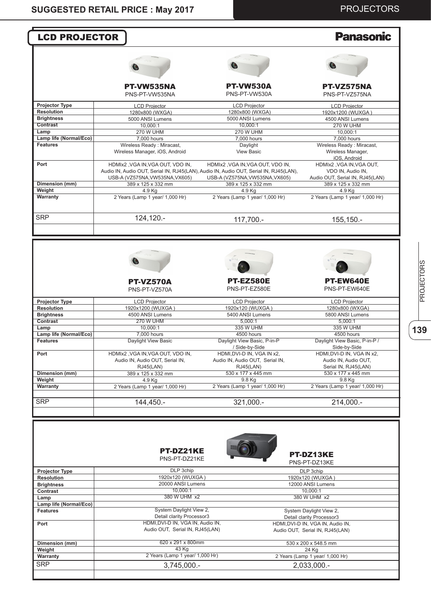| <b>LCD PROJECTOR</b>                         |                                                                                                        |                                                                                                  | <b>Panasonic</b>                                                                      |
|----------------------------------------------|--------------------------------------------------------------------------------------------------------|--------------------------------------------------------------------------------------------------|---------------------------------------------------------------------------------------|
|                                              |                                                                                                        |                                                                                                  |                                                                                       |
|                                              |                                                                                                        |                                                                                                  |                                                                                       |
|                                              | PT-VW535NA<br>PNS-PT-VW535NA                                                                           | <b>PT-VW530A</b><br>PNS-PT-VW530A                                                                | PT-VZ575NA<br>PNS-PT-VZ575NA                                                          |
| <b>Projector Type</b>                        | <b>LCD Projector</b>                                                                                   | <b>LCD Projector</b>                                                                             | <b>LCD Projector</b>                                                                  |
| <b>Resolution</b>                            | 1280x800 (WXGA)                                                                                        | 1280x800 (WXGA)                                                                                  | 1920x1200 (WUXGA)                                                                     |
| <b>Brightness</b>                            | 5000 ANSI Lumens                                                                                       | 5000 ANSI Lumens                                                                                 | 4500 ANSI Lumens                                                                      |
| Contrast                                     | 10,000:1                                                                                               | 10,000:1                                                                                         | <b>270 W UHM</b>                                                                      |
| Lamp<br>Lamp life (Normal/Eco)               | <b>270 W UHM</b><br>7,000 hours                                                                        | <b>270 W UHM</b><br>7,000 hours                                                                  | 10,000:1<br>7,000 hours                                                               |
| <b>Features</b>                              | Wireless Ready: Miracast,                                                                              | Daylight                                                                                         | Wireless Ready: Miracast,                                                             |
|                                              | Wireless Manager, iOS, Android                                                                         | <b>View Basic</b>                                                                                | Wireless Manager,<br>iOS, Android                                                     |
| Port                                         | HDMIx2, VGA IN, VGA OUT, VDO IN,                                                                       | HDMIx2, VGA IN, VGA OUT, VDO IN,                                                                 | HDMIx2, VGA IN, VGA OUT,                                                              |
|                                              | Audio IN, Audio OUT, Serial IN, RJ45(LAN), Audio IN, Audio OUT, Serial IN, RJ45(LAN),                  |                                                                                                  | VDO IN, Audio IN,                                                                     |
| Dimension (mm)                               | USB-A (VZ575NA, VW535NA, VX605)                                                                        | USB-A (VZ575NA, VW535NA, VX605)<br>389 x 125 x 332 mm                                            | Audio OUT, Serial IN, RJ45(LAN)<br>389 x 125 x 332 mm                                 |
| Weight                                       | 389 x 125 x 332 mm<br>4.9 Kg                                                                           | 4.9 Kg                                                                                           | 4.9 Kg                                                                                |
| Warranty                                     | 2 Years (Lamp 1 year/ 1,000 Hr)                                                                        | 2 Years (Lamp 1 year/ 1,000 Hr)                                                                  | 2 Years (Lamp 1 year/ 1,000 Hr)                                                       |
| <b>SRP</b>                                   | 124,120.-                                                                                              | 117,700.-                                                                                        | 155,150.-                                                                             |
|                                              |                                                                                                        |                                                                                                  |                                                                                       |
|                                              |                                                                                                        |                                                                                                  |                                                                                       |
|                                              | <b>PT-VZ570A</b><br>PNS-PT-VZ570A                                                                      | <b>PT-EZ580E</b><br>PNS-PT-EZ580E                                                                | PT-EW640E<br>PNS-PT-EW640E                                                            |
| <b>Projector Type</b>                        | <b>LCD Projector</b>                                                                                   |                                                                                                  | <b>LCD Projector</b>                                                                  |
| <b>Resolution</b>                            | 1920x1200 (WUXGA)                                                                                      | <b>LCD Projector</b><br>1920x120 (WUXGA)                                                         | 1280x800 (WXGA)                                                                       |
| <b>Brightness</b>                            | 4500 ANSI Lumens                                                                                       | 5400 ANSI Lumens                                                                                 | 5800 ANSI Lumens                                                                      |
| Contrast                                     | <b>270 W UHM</b>                                                                                       | 5.000:1                                                                                          | 5,000:1                                                                               |
| Lamp                                         | 10,000:1                                                                                               | 335 W UHM                                                                                        | 335 W UHM                                                                             |
| Lamp life (Normal/Eco)                       | 7,000 hours                                                                                            | 4500 hours                                                                                       | 4500 hours                                                                            |
| <b>Features</b>                              | Daylight View Basic                                                                                    | Daylight View Basic, P-in-P<br>/ Side-by-Side                                                    | Daylight View Basic, P-in-P /<br>Side-by-Side                                         |
|                                              |                                                                                                        |                                                                                                  |                                                                                       |
|                                              |                                                                                                        |                                                                                                  |                                                                                       |
|                                              | RJ45(LAN)                                                                                              | RJ45(LAN)                                                                                        | Serial IN, RJ45(LAN)                                                                  |
|                                              | 389 x 125 x 332 mm                                                                                     | 530 x 177 x 445 mm                                                                               | 530 x 177 x 445 mm                                                                    |
|                                              | 4.9 Kg                                                                                                 | 9.8 Kg                                                                                           | 9.8 Kg                                                                                |
|                                              |                                                                                                        |                                                                                                  |                                                                                       |
|                                              |                                                                                                        |                                                                                                  |                                                                                       |
| Port<br>Dimension (mm)<br>Weight<br>Warranty | HDMIx2, VGA IN, VGA OUT, VDO IN,<br>Audio IN, Audio OUT, Serial IN,<br>2 Years (Lamp 1 year/ 1,000 Hr) | HDMI, DVI-D IN, VGA IN x2,<br>Audio IN, Audio OUT, Serial IN,<br>2 Years (Lamp 1 year/ 1,000 Hr) | HDMI, DVI-D IN, VGA IN x2,<br>Audio IN, Audio OUT,<br>2 Years (Lamp 1 year/ 1,000 Hr) |
|                                              | 144,450.-                                                                                              | 321,000 .-                                                                                       | 214,000.-                                                                             |
| <b>SRP</b>                                   | <b>PT-DZ21KE</b><br>PNS-PT-DZ21KE                                                                      |                                                                                                  | <b>PT-DZ13KE</b><br>PNS-PT-DZ13KE                                                     |
| <b>Projector Type</b>                        | DLP 3chip                                                                                              |                                                                                                  | DLP 3chip                                                                             |
| <b>Resolution</b>                            | 1920x120 (WUXGA)                                                                                       |                                                                                                  | 1920x120 (WUXGA)                                                                      |
|                                              | 20000 ANSI Lumens                                                                                      |                                                                                                  | 12000 ANSI Lumens                                                                     |
|                                              | 10,000:1<br>380 W UHM x2                                                                               |                                                                                                  | 10,000:1                                                                              |
| <b>Brightness</b><br>Contrast<br>Lamp        |                                                                                                        |                                                                                                  | 380 W UHM x2                                                                          |
| Lamp life (Normal/Eco)<br><b>Features</b>    | System Daylight View 2,                                                                                |                                                                                                  | System Daylight View 2,                                                               |
|                                              | Detail clarity Processor3                                                                              |                                                                                                  | Detail clarity Processor3                                                             |
|                                              | HDMI, DVI-D IN, VGA IN, Audio IN,<br>Audio OUT, Serial IN, RJ45(LAN)                                   |                                                                                                  | HDMI, DVI-D IN, VGA IN, Audio IN,<br>Audio OUT, Serial IN, RJ45(LAN)                  |
|                                              | 620 x 291 x 800mm                                                                                      |                                                                                                  |                                                                                       |
| Port<br>Dimension (mm)<br>Weight             | 43 Kg                                                                                                  |                                                                                                  | 530 x 200 x 548.5 mm<br>24 Kg                                                         |
| Warranty                                     | 2 Years (Lamp 1 year/ 1,000 Hr)                                                                        |                                                                                                  | 2 Years (Lamp 1 year/ 1,000 Hr)                                                       |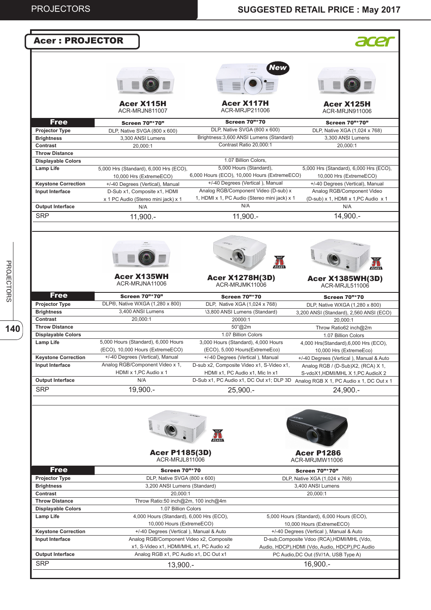| <b>Acer: PROJECTOR</b>                             |                                                                         |                                                                                      |                                                                          |
|----------------------------------------------------|-------------------------------------------------------------------------|--------------------------------------------------------------------------------------|--------------------------------------------------------------------------|
|                                                    |                                                                         | New                                                                                  |                                                                          |
|                                                    | <b>Acer X115H</b><br><b>ACR-MRJN811007</b>                              | <b>Acer X117H</b><br>ACR-MRJP211006                                                  | Acer X125H<br>ACR-MRJN911006                                             |
| <b>Free</b>                                        | <b>Screen 70"*70"</b>                                                   | <b>Screen 70"*70</b>                                                                 | <b>Screen 70"*70"</b>                                                    |
| <b>Projector Type</b>                              | DLP, Native SVGA (800 x 600)                                            | DLP, Native SVGA (800 x 600)                                                         | DLP, Native XGA (1,024 x 768)                                            |
| <b>Brightness</b>                                  | 3,300 ANSI Lumens                                                       | Brightness: 3,600 ANSI Lumens (Standard)                                             | 3,300 ANSI Lumens                                                        |
| Contrast                                           | 20,000:1                                                                | Contrast Ratio 20,000:1                                                              | 20,000:1                                                                 |
| <b>Throw Distance</b><br><b>Displayable Colors</b> |                                                                         | 1.07 Billion Colors,                                                                 |                                                                          |
| Lamp Life                                          | 5,000 Hrs (Standard), 6,000 Hrs (ECO),<br>10,000 Hrs (ExtremeECO)       | 5,000 Hours (Standard),<br>6,000 Hours (ECO), 10,000 Hours (ExtremeECO)              | 5,000 Hrs (Standard), 6,000 Hrs (ECO),<br>10,000 Hrs (ExtremeECO)        |
| <b>Keystone Correction</b>                         | +/-40 Degrees (Vertical), Manual                                        | +/-40 Degrees (Vertical), Manual                                                     | +/-40 Degrees (Vertical), Manual                                         |
| Input Interface                                    | D-Sub x1, Composite x1, HDMI<br>x 1 PC Audio (Stereo mini jack) x 1     | Analog RGB/Component Video (D-sub) x<br>1, HDMI x 1, PC Audio (Stereo mini jack) x 1 | Analog RGB/Component Video<br>(D-sub) x 1, HDMI x 1, PC Audio x 1        |
| <b>Output Interface</b>                            | N/A                                                                     | N/A                                                                                  | N/A                                                                      |
| <b>SRP</b>                                         | $11,900. -$                                                             | $11,900. -$                                                                          | 14,900.-                                                                 |
|                                                    |                                                                         |                                                                                      | 1999                                                                     |
|                                                    | <b>Acer X135WH</b><br>ACR-MRJNA11006                                    | <b>Acer X1278H(3D)</b><br>ACR-MRJMK11006                                             | <b>Acer X1385WH(3D)</b><br>ACR-MRJL511006                                |
| <b>Free</b>                                        | <b>Screen 70"*70"</b>                                                   | <b>Screen 70"*70</b>                                                                 | <b>Screen 70"*70</b>                                                     |
| <b>Projector Type</b>                              | DLP®, Native WXGA (1,280 x 800)                                         | DLP, Native XGA (1,024 x 768)                                                        | DLP, Native WXGA (1,280 x 800)                                           |
| <b>Brightness</b><br>Contrast                      | 3,400 ANSI Lumens<br>20,000:1                                           | \3,800 ANSI Lumens (Standard)<br>20000:1                                             | 3,200 ANSI (Standard), 2,560 ANSI (ECO)                                  |
| <b>Throw Distance</b>                              |                                                                         | 50"@2m                                                                               | 20.000:1<br>Throw Ratio62 inch@2m                                        |
| <b>Displayable Colors</b>                          |                                                                         | 1.07 Billion Colors                                                                  | 1.07 Billion Colors                                                      |
| <b>Lamp Life</b>                                   | 5,000 Hours (Standard), 6,000 Hours<br>(ECO), 10,000 Hours (ExtremeECO) | 3,000 Hours (Standard), 4,000 Hours<br>(ECO), 5,000 Hours(ExtremeEco)                | 4,000 Hrs(Standard),6,000 Hrs (ECO),<br>10,000 Hrs (ExtremeEco)          |
| <b>Keystone Correction</b>                         | +/-40 Degrees (Vertical), Manual                                        | +/-40 Degrees (Vertical), Manual                                                     | +/-40 Degrees (Vertical), Manual & Auto                                  |
| Input Interface                                    | Analog RGB/Component Video x 1,<br>HDMI x 1, PC Audio x 1               | D-sub x2, Composite Video x1, S-Video x1,<br>HDMI x1, PC Audio x1, Mic In x1         | Analog RGB / (D-Sub)X2, (RCA) X 1,<br>S-vdoX1, HDMI/MHL X 1, PC AudioX 2 |
| <b>Output Interface</b>                            | N/A                                                                     | D-Sub x1, PC Audio x1, DC Out x1; DLP 3D                                             | Analog RGB X 1, PC Audio x 1, DC Out x 1                                 |
| <b>SRP</b>                                         | 19,900.-                                                                | $25,900. -$                                                                          | 24,900.-                                                                 |
|                                                    | <b>Bash</b>                                                             |                                                                                      |                                                                          |
|                                                    | <b>Acer P1185(3D)</b><br>ACR-MRJL811006                                 |                                                                                      | <b>Acer P1286</b><br>ACR-MRJMW11006                                      |
| <b>Free</b>                                        | <b>Screen 70"*70</b>                                                    |                                                                                      | <b>Screen 70"*70"</b>                                                    |
| <b>Projector Type</b>                              | DLP, Native SVGA (800 x 600)                                            |                                                                                      | DLP, Native XGA (1,024 x 768)                                            |
| <b>Brightness</b><br>Contrast                      | 3,200 ANSI Lumens (Standard)<br>20,000:1                                |                                                                                      | 3,400 ANSI Lumens<br>20,000:1                                            |
| <b>Throw Distance</b>                              | Throw Ratio:50 inch@2m, 100 inch@4m                                     |                                                                                      |                                                                          |
| <b>Displayable Colors</b>                          | 1.07 Billion Colors                                                     |                                                                                      |                                                                          |
| Lamp Life                                          | 4,000 Hours (Standard), 6,000 Hrs (ECO),<br>10,000 Hours (ExtremeECO)   |                                                                                      | 5,000 Hours (Standard), 6,000 Hours (ECO),<br>10,000 Hours (ExtremeECO)  |
| <b>Keystone Correction</b>                         | +/-40 Degrees (Vertical), Manual & Auto                                 |                                                                                      | +/-40 Degrees (Vertical), Manual & Auto                                  |
| Input Interface                                    | Analog RGB/Component Video x2, Composite                                |                                                                                      | D-sub, Composite Vdoo (RCA), HDMI/MHL (Vdo,                              |
|                                                    | x1, S-Video x1, HDMI/MHL x1, PC Audio x2                                |                                                                                      | Audio, HDCP), HDMI (Vdo, Audio, HDCP), PC Audio                          |
| <b>Output Interface</b><br><b>SRP</b>              | Analog RGB x1, PC Audio x1, DC Out x1                                   |                                                                                      | PC Audio, DC Out (5V/1A, USB Type A)<br>16,900.-                         |
|                                                    | 13,900.-                                                                |                                                                                      |                                                                          |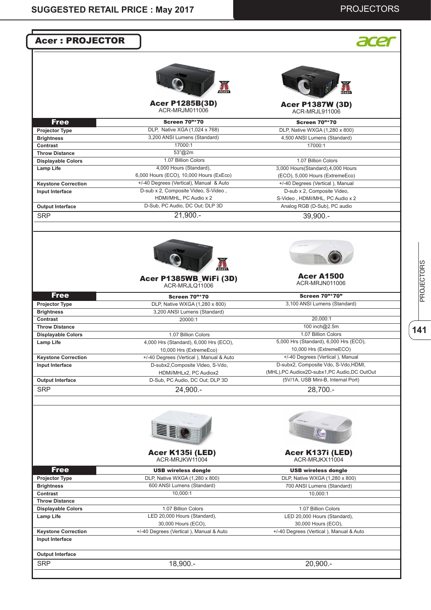| <b>Acer: PROJECTOR</b>                        |                                                                   |                                                                 |
|-----------------------------------------------|-------------------------------------------------------------------|-----------------------------------------------------------------|
|                                               |                                                                   |                                                                 |
|                                               | READY                                                             |                                                                 |
|                                               | <b>Acer P1285B(3D)</b><br>ACR-MRJM011006                          | <b>Acer P1387W (3D)</b><br>ACR-MRJL911006                       |
| <b>Free</b>                                   | <b>Screen 70"*70</b>                                              | <b>Screen 70"*70</b>                                            |
| <b>Projector Type</b>                         | DLP, Native XGA (1,024 x 768)                                     | DLP, Native WXGA (1,280 x 800)                                  |
| <b>Brightness</b>                             | 3,200 ANSI Lumens (Standard)                                      | 4,500 ANSI Lumens (Standard)                                    |
| Contrast                                      | 17000:1                                                           | 17000:1                                                         |
| <b>Throw Distance</b>                         | 53"@2m                                                            |                                                                 |
| <b>Displayable Colors</b>                     | 1.07 Billion Colors                                               | 1.07 Billion Colors                                             |
| <b>Lamp Life</b>                              | 4,000 Hours (Standard),                                           | 3,000 Hours(Standard),4,000 Hours                               |
|                                               | 6,000 Hours (ECO), 10,000 Hours (ExEco)                           | (ECO), 5,000 Hours (ExtremeEco)                                 |
| <b>Keystone Correction</b>                    | +/-40 Degrees (Vertical), Manual & Auto                           | +/-40 Degrees (Vertical), Manual                                |
| Input Interface                               | D-sub x 2, Composite Video, S-Video,                              | D-sub x 2, Composite Video,                                     |
|                                               | HDMI/MHL, PC Audio x 2<br>D-Sub, PC Audio, DC Out; DLP 3D         | S-Video, HDMI/MHL, PC Audio x 2<br>Analog RGB (D-Sub), PC audio |
| <b>Output Interface</b>                       |                                                                   |                                                                 |
| <b>SRP</b>                                    | $21,900. -$                                                       | 39,900.-                                                        |
|                                               |                                                                   |                                                                 |
|                                               | Acer P1385WB_WiFi (3D)                                            | <b>Acer A1500</b><br>ACR-MRJN011006                             |
|                                               | ACR-MRJLQ11006                                                    |                                                                 |
| <b>Free</b>                                   | <b>Screen 70"*70</b>                                              | <b>Screen 70"*70"</b>                                           |
| <b>Projector Type</b>                         | DLP, Native WXGA (1,280 x 800)                                    | 3,100 ANSI Lumens (Standard)                                    |
| <b>Brightness</b>                             | 3,200 ANSI Lumens (Standard)                                      |                                                                 |
| Contrast                                      | 20000:1                                                           | 20,000:1                                                        |
| <b>Throw Distance</b>                         |                                                                   | 100 inch@2.5m<br>1.07 Billion Colors                            |
| <b>Displayable Colors</b>                     | 1.07 Billion Colors                                               | 5,000 Hrs (Standard), 6,000 Hrs (ECO),                          |
| <b>Lamp Life</b>                              | 4,000 Hrs (Standard), 6,000 Hrs (ECO),<br>10,000 Hrs (ExtremeEco) | 10,000 Hrs (ExtremeECO)                                         |
| <b>Keystone Correction</b>                    | +/-40 Degrees (Vertical), Manual & Auto                           | +/-40 Degrees (Vertical), Manual                                |
| Input Interface                               | D-subx2, Composite Video, S-Vdo,                                  | D-subx2, Composite Vdo, S-Vdo, HDMI,                            |
|                                               | HDMI/MHLx2, PC Audiox2                                            | (MHL), PC Audiox2D-subx1, PC Audio, DC OutOut                   |
| <b>Output Interface</b>                       | D-Sub, PC Audio, DC Out; DLP 3D                                   | (5V/1A, USB Mini-B, Internal Port)                              |
| <b>SRP</b>                                    | 24,900.-                                                          | 28,700.-                                                        |
|                                               |                                                                   |                                                                 |
|                                               |                                                                   |                                                                 |
|                                               | Acer K135i (LED)<br>ACR-MRJKW11004                                | Acer K137i (LED)<br>ACR-MRJKX11004                              |
| <b>Free</b>                                   | <b>USB wireless dongle</b>                                        | <b>USB wireless dongle</b>                                      |
| <b>Projector Type</b>                         | DLP, Native WXGA (1,280 x 800)                                    | DLP, Native WXGA (1,280 x 800)                                  |
| <b>Brightness</b>                             | 600 ANSI Lumens (Standard)                                        | 700 ANSI Lumens (Standard)                                      |
| Contrast                                      | 10,000:1                                                          | 10,000:1                                                        |
| <b>Throw Distance</b>                         |                                                                   |                                                                 |
| <b>Displayable Colors</b>                     | 1.07 Billion Colors                                               | 1.07 Billion Colors                                             |
| Lamp Life                                     | LED 20,000 Hours (Standard),                                      | LED 20,000 Hours (Standard),                                    |
|                                               | 30,000 Hours (ECO),                                               | 30,000 Hours (ECO),                                             |
| <b>Keystone Correction</b><br>Input Interface | +/-40 Degrees (Vertical), Manual & Auto                           | +/-40 Degrees (Vertical), Manual & Auto                         |
| <b>Output Interface</b>                       |                                                                   |                                                                 |
|                                               |                                                                   |                                                                 |
| <b>SRP</b>                                    | 18,900.-                                                          | $20,900. -$                                                     |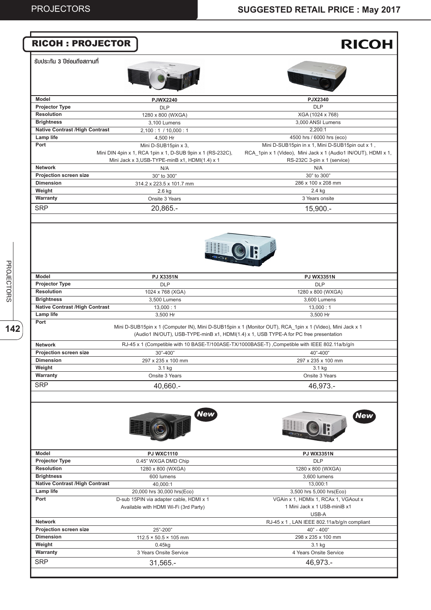#### **RICOH** RICOH : PROJECTOR **รับประกัน 3 ปีซ่อมถึงสถานที่ Model PJWX2240 PJX2340 Projector Type** DLP DLP **Resolution** 1280 x 800 (WXGA) XGA (1024 x 768) **Brightness** 3,000 ANSI Lumens 3,100 Lumens **Native Contrast /High Contrast** 2,200:1  $2,100 : 1 / 10,000 : 1$ **Lamp life**  4500 hrs / 6000 hrs (eco) 4,500 Hr **Port** Mini D-SUB15pin in x 1, Mini D-SUB15pin out x 1 , Mini D-SUB15pin x 3, RCA\_1pin x 1 (Video), Mini Jack x 1 (Audio1 IN/OUT), HDMI x 1, Mini DIN 4pin x 1, RCA 1pin x 1, D-SUB 9pin x 1 (RS-232C), Mini Jack x 3,USB-TYPE-minB x1, HDMI(1.4) x 1 RS-232C 3-pin x 1 (service) **Network** N/A N/A **Projection screen size** 30" to 300" 30" to 300" **Dimension** 286 x 100 x 208 mm 314.2 x 223.5 x 101.7 mm **Weight** 2.6 kg 2.4 kg **Warranty** Onsite 3 Years 3 Years onsite **SRP** 20,865.- 15,900.- **Model PJ X3351N PJ WX3351N Projector Type** DLP DLP **Resolution** 1280 x 800 (WXGA) 1024 x 768 (XGA) **Brightness** 3,500 Lumens 3,600 Lumens **Native Contrast /High Contrast**  $13,000:1$  $13,000:1$ **Lamp life**  3,500 Hr 3,500 Hr **Port** Mini D-SUB15pin x 1 (Computer IN), Mini D-SUB15pin x 1 (Monitor OUT), RCA\_1pin x 1 (Video), Mini Jack x 1 (Audio1 IN/OUT), USB-TYPE-minB x1, HDMI(1.4) x 1, USB TYPE-A for PC free presentation RJ-45 x 1 (Competible with 10 BASE-T/100ASE-TX/1000BASE-T) , Competible with IEEE 802.11a/b/g/n **Network Projection screen size** 30"-400" 40"-400" **Dimension** 297 x 235 x 100 mm 297 x 235 x 100 mm **Weight** 3.1 kg 3.1 kg **Warranty** Onsite 3 Years Onsite 3 Years **SRP** 40,660.- 46,973.- *New New* **Model PJ WXC1110 PJ WX3351N Projector Type** 0.45" WXGA DMD Chip DLP **Resolution** 1280 x 800 (WXGA) 1280 x 800 (WXGA) **Brightness** 3,600 lumens 600 lumens **Native Contrast /High Contrast** 40,000:1 13,000:1 **Lamp life**  20,000 hrs 30,000 hrs(Eco) 3,500 hrs 5,000 hrs(Eco) **Port** D-sub 15PIN via adapter cable, HDMI x 1 VGAin x 1, HDMIx 1, RCAx 1, VGAout x Available with HDMI Wi-Fi (3rd Party) 1 Mini Jack x 1 USB-miniB x1 USB-A **Network** RJ-45 x 1 , LAN IEEE 802.11a/b/g/n compliant **Projection screen size** 25"-200" 40" - 400" **Dimension**  $112.5 \times 50.5 \times 105$  mm 298 x 235 x 100 mm **Weight** 0.45kg 3.1 kg **Warranty** 3 Years Onsite Service 4 Years Onsite Service **SRP** 31,565.- 46,973.-